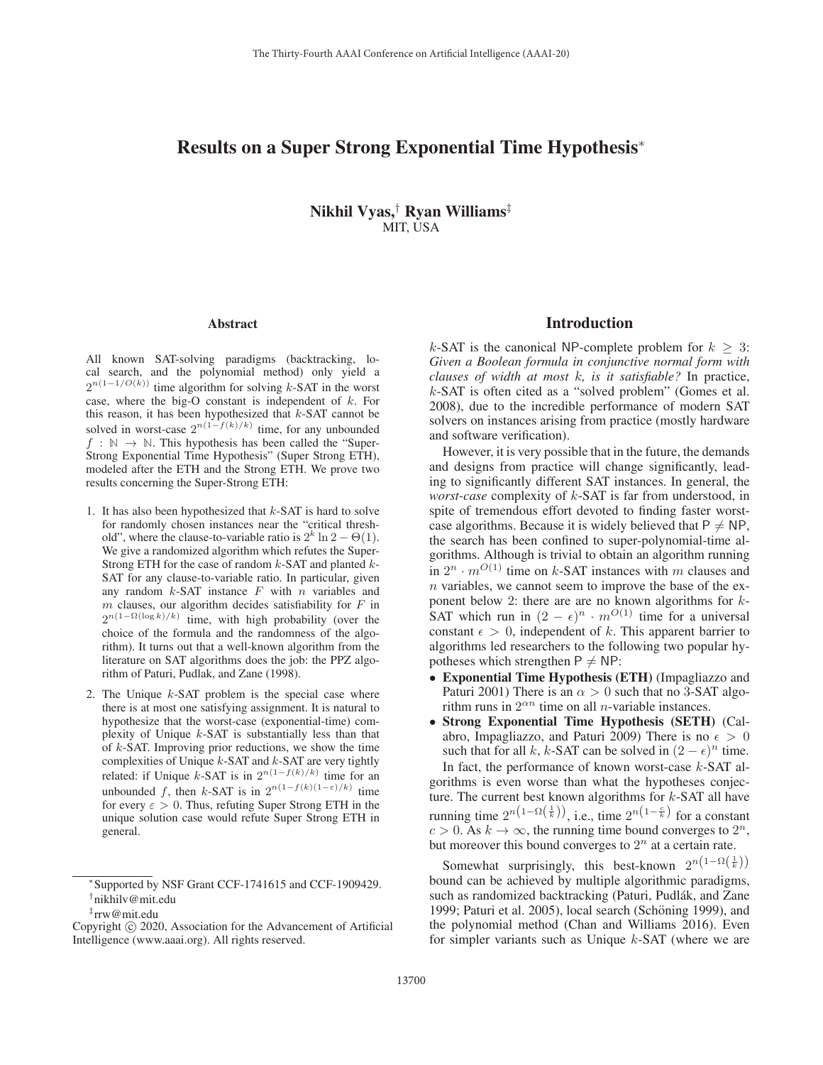# Results on a Super Strong Exponential Time Hypothesis<sup>∗</sup>

Nikhil Vyas,† Ryan Williams‡ MIT, USA

#### Abstract

All known SAT-solving paradigms (backtracking, local search, and the polynomial method) only yield a  $2^{n(1-1/O(k))}$  time algorithm for solving k-SAT in the worst case, where the big-O constant is independent of  $k$ . For this reason, it has been hypothesized that  $k$ -SAT cannot be solved in worst-case  $2^{n(1-f(k)/k)}$  time, for any unbounded  $f : \mathbb{N} \to \mathbb{N}$ . This hypothesis has been called the "Super-Strong Exponential Time Hypothesis" (Super Strong ETH), modeled after the ETH and the Strong ETH. We prove two results concerning the Super-Strong ETH:

- 1. It has also been hypothesized that  $k$ -SAT is hard to solve for randomly chosen instances near the "critical threshold", where the clause-to-variable ratio is  $2^k \ln 2 - \Theta(1)$ . We give a randomized algorithm which refutes the Super-Strong ETH for the case of random  $k$ -SAT and planted  $k$ -SAT for any clause-to-variable ratio. In particular, given any random  $k$ -SAT instance  $F$  with  $n$  variables and  $m$  clauses, our algorithm decides satisfiability for  $F$  in  $2^{n(1-\Omega(\log k)/k)}$  time, with high probability (over the choice of the formula and the randomness of the algorithm). It turns out that a well-known algorithm from the literature on SAT algorithms does the job: the PPZ algorithm of Paturi, Pudlak, and Zane (1998).
- 2. The Unique  $k$ -SAT problem is the special case where there is at most one satisfying assignment. It is natural to hypothesize that the worst-case (exponential-time) complexity of Unique  $k$ -SAT is substantially less than that of  $k$ -SAT. Improving prior reductions, we show the time complexities of Unique  $k$ -SAT and  $k$ -SAT are very tightly related: if Unique k-SAT is in  $2^{n(1-f(k)/k)}$  time for an unbounded f, then k-SAT is in  $2^{n(1-f(k)(1-\varepsilon)/k)}$  time for every  $\varepsilon > 0$ . Thus, refuting Super Strong ETH in the unique solution case would refute Super Strong ETH in general.

<sup>∗</sup>Supported by NSF Grant CCF-1741615 and CCF-1909429. †nikhilv@mit.edu

### Introduction

k-SAT is the canonical NP-complete problem for  $k \geq 3$ : *Given a Boolean formula in conjunctive normal form with clauses of width at most* k*, is it satisfiable?* In practice, k-SAT is often cited as a "solved problem" (Gomes et al. 2008), due to the incredible performance of modern SAT solvers on instances arising from practice (mostly hardware and software verification).

However, it is very possible that in the future, the demands and designs from practice will change significantly, leading to significantly different SAT instances. In general, the *worst-case* complexity of k-SAT is far from understood, in spite of tremendous effort devoted to finding faster worstcase algorithms. Because it is widely believed that  $P \neq NP$ , the search has been confined to super-polynomial-time algorithms. Although is trivial to obtain an algorithm running in  $2^n \cdot m^{O(1)}$  time on k-SAT instances with m clauses and  $n$  variables, we cannot seem to improve the base of the exponent below 2: there are are no known algorithms for  $k$ -SAT which run in  $(2 - \epsilon)^n \cdot m^{O(1)}$  time for a universal constant  $\epsilon > 0$  independent of k. This apparent barrier to constant  $\epsilon > 0$ , independent of k. This apparent barrier to algorithms led researchers to the following two popular hyalgorithms led researchers to the following two popular hypotheses which strengthen  $P \neq NP$ :

- Exponential Time Hypothesis (ETH) (Impagliazzo and Paturi 2001) There is an  $\alpha > 0$  such that no 3-SAT algorithm runs in  $2^{\alpha n}$  time on all *n*-variable instances.
- Strong Exponential Time Hypothesis (SETH) (Calabro, Impagliazzo, and Paturi 2009) There is no  $\epsilon > 0$ <br>such that for all k, k-SAT can be solved in  $(2 - \epsilon)^n$  time. such that for all k, k-SAT can be solved in  $(2 - \epsilon)^n$  time.<br>In fact, the performance of known worst-case k-SAT al-In fact, the performance of known worst-case  $k$ -SAT algorithms is even worse than what the hypotheses conjecture. The current best known algorithms for  $k$ -SAT all have running time  $2^{n(1-\Omega(\frac{1}{k}))}$ , i.e., time  $2^{n(1-\frac{c}{k})}$  for a constant  $c > 0$ . As  $k \to \infty$  the running time bound converges to  $2^n$  $c > 0$ . As  $k \to \infty$ , the running time bound converges to  $2^n$ , but moreover this bound converges to  $2<sup>n</sup>$  at a certain rate.

Somewhat surprisingly, this best-known  $2^{n(1-\Omega(\frac{1}{k}))}$ <br>und can be achieved by multiple algorithmic paradigms bound can be achieved by multiple algorithmic paradigms, such as randomized backtracking (Paturi, Pudlák, and Zane 1999; Paturi et al. 2005), local search (Schöning 1999), and the polynomial method (Chan and Williams 2016). Even for simpler variants such as Unique  $k$ -SAT (where we are

<sup>‡</sup>rrw@mit.edu

Copyright (c) 2020, Association for the Advancement of Artificial Intelligence (www.aaai.org). All rights reserved.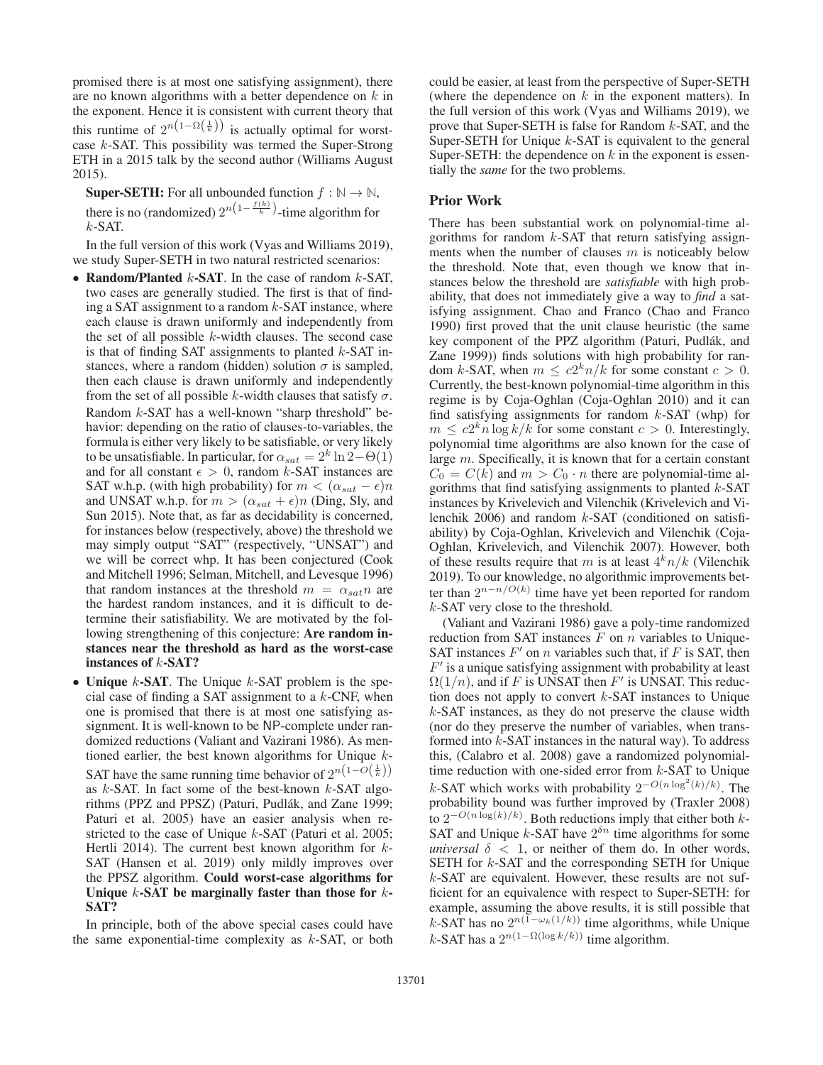promised there is at most one satisfying assignment), there are no known algorithms with a better dependence on  $k$  in the exponent. Hence it is consistent with current theory that this runtime of  $2^{n(1-\Omega(\frac{1}{k}))}$  is actually optimal for worst-<br>case k-SAT. This possibility was termed the Super-Strong case k-SAT. This possibility was termed the Super-Strong ETH in a 2015 talk by the second author (Williams August 2015).

**Super-SETH:** For all unbounded function  $f : \mathbb{N} \to \mathbb{N}$ , there is no (randomized)  $2^{n(1-\frac{f(k)}{k})}$ -time algorithm for  $k$ -SAT  $k$ -SAT.

In the full version of this work (Vyas and Williams 2019), we study Super-SETH in two natural restricted scenarios:

- Random/Planted  $k$ -SAT. In the case of random  $k$ -SAT, two cases are generally studied. The first is that of finding a SAT assignment to a random  $k$ -SAT instance, where each clause is drawn uniformly and independently from the set of all possible k-width clauses. The second case is that of finding SAT assignments to planted  $k$ -SAT instances, where a random (hidden) solution  $\sigma$  is sampled, then each clause is drawn uniformly and independently from the set of all possible k-width clauses that satisfy  $\sigma$ . Random k-SAT has a well-known "sharp threshold" behavior: depending on the ratio of clauses-to-variables, the formula is either very likely to be satisfiable, or very likely to be unsatisfiable. In particular, for  $\alpha_{sat} = 2^k \ln 2 - \Theta(1)$ and for all constant  $\epsilon > 0$ , random k-SAT instances are<br>SAT who (with high probability) for  $m < (\alpha_{\text{est}} - \epsilon)n$ SAT w.h.p. (with high probability) for  $m < (\alpha_{sat} - \epsilon)n$ <br>and UNSAT w.h.p. for  $m > (\alpha_{sat} + \epsilon)n$  (Ding. Sly, and and UNSAT w.h.p. for  $m > (\alpha_{sat} + \epsilon)n$  (Ding, Sly, and Sun 2015). Note that as far as decidentity is concerned Sun 2015). Note that, as far as decidability is concerned, for instances below (respectively, above) the threshold we may simply output "SAT" (respectively, "UNSAT") and we will be correct whp. It has been conjectured (Cook and Mitchell 1996; Selman, Mitchell, and Levesque 1996) that random instances at the threshold  $m = \alpha_{sat} n$  are the hardest random instances, and it is difficult to determine their satisfiability. We are motivated by the following strengthening of this conjecture: Are random instances near the threshold as hard as the worst-case instances of k-SAT?
- Unique  $k$ -SAT. The Unique  $k$ -SAT problem is the special case of finding a SAT assignment to a  $k$ -CNF, when one is promised that there is at most one satisfying assignment. It is well-known to be NP-complete under randomized reductions (Valiant and Vazirani 1986). As mentioned earlier, the best known algorithms for Unique k-SAT have the same running time behavior of  $2^{n(1-O(\frac{1}{k}))}$ <br>as k-SAT. In fact some of the best-known k-SAT algoas  $k$ -SAT. In fact some of the best-known  $k$ -SAT algorithms (PPZ and PPSZ) (Paturi, Pudlák, and Zane 1999; Paturi et al. 2005) have an easier analysis when restricted to the case of Unique k-SAT (Paturi et al. 2005; Hertli 2014). The current best known algorithm for  $k$ -SAT (Hansen et al. 2019) only mildly improves over the PPSZ algorithm. Could worst-case algorithms for Unique  $k$ -SAT be marginally faster than those for  $k$ -SAT?

In principle, both of the above special cases could have the same exponential-time complexity as  $k$ -SAT, or both

could be easier, at least from the perspective of Super-SETH (where the dependence on  $k$  in the exponent matters). In the full version of this work (Vyas and Williams 2019), we prove that Super-SETH is false for Random k-SAT, and the Super-SETH for Unique  $k$ -SAT is equivalent to the general Super-SETH: the dependence on  $k$  in the exponent is essentially the *same* for the two problems.

#### Prior Work

There has been substantial work on polynomial-time algorithms for random  $k$ -SAT that return satisfying assignments when the number of clauses  $m$  is noticeably below the threshold. Note that, even though we know that instances below the threshold are *satisfiable* with high probability, that does not immediately give a way to *find* a satisfying assignment. Chao and Franco (Chao and Franco 1990) first proved that the unit clause heuristic (the same key component of the PPZ algorithm (Paturi, Pudlák, and Zane 1999)) finds solutions with high probability for random k-SAT, when  $m \leq c2^k n/k$  for some constant  $c > 0$ . Currently, the best-known polynomial-time algorithm in this regime is by Coja-Oghlan (Coja-Oghlan 2010) and it can find satisfying assignments for random  $k$ -SAT (whp) for  $m \leq c2^k n \log k/k$  for some constant  $c > 0$ . Interestingly, polynomial time algorithms are also known for the case of large m. Specifically, it is known that for a certain constant  $C_0 = C(k)$  and  $m > C_0 \cdot n$  there are polynomial-time algorithms that find satisfying assignments to planted  $k$ -SAT instances by Krivelevich and Vilenchik (Krivelevich and Vilenchik 2006) and random  $k$ -SAT (conditioned on satisfiability) by Coja-Oghlan, Krivelevich and Vilenchik (Coja-Oghlan, Krivelevich, and Vilenchik 2007). However, both of these results require that m is at least  $4kn/k$  (Vilenchik 2019). To our knowledge, no algorithmic improvements better than  $2^{n-n/O(k)}$  time have yet been reported for random k-SAT very close to the threshold.

(Valiant and Vazirani 1986) gave a poly-time randomized reduction from SAT instances  $F$  on  $n$  variables to Unique-SAT instances  $F'$  on n variables such that, if F is SAT, then  $F'$  is a unique satisfying assignment with probability at least  $\Omega(1/n)$ , and if F is UNSAT then F' is UNSAT. This reduction does not apply to convert k-SAT instances to Unique tion does not apply to convert  $k$ -SAT instances to Unique k-SAT instances, as they do not preserve the clause width (nor do they preserve the number of variables, when transformed into k-SAT instances in the natural way). To address this, (Calabro et al. 2008) gave a randomized polynomialtime reduction with one-sided error from  $k$ -SAT to Unique k-SAT which works with probability  $2^{-O(n \log^2(k)/k)}$ . The probability bound was further improved by (Traxler 2008) probability bound was further improved by (Traxler 2008) to  $2^{-O(n \log(k)/k)}$ . Both reductions imply that either both *k*-SAT and Unique *k*-SAT have  $2^{\delta n}$  time algorithms for some SAT and Unique k-SAT have  $2^{\delta n}$  time algorithms for some *universal*  $\delta$  < 1, or neither of them do. In other words, SETH for  $k$ -SAT and the corresponding SETH for Unique k-SAT are equivalent. However, these results are not sufficient for an equivalence with respect to Super-SETH: for example, assuming the above results, it is still possible that k-SAT has no  $2^{n(\overline{1}-\omega_k(1/k))}$  time algorithms, while Unique k-SAT has a  $2^{n(1-\Omega(\log k/k))}$  time algorithm.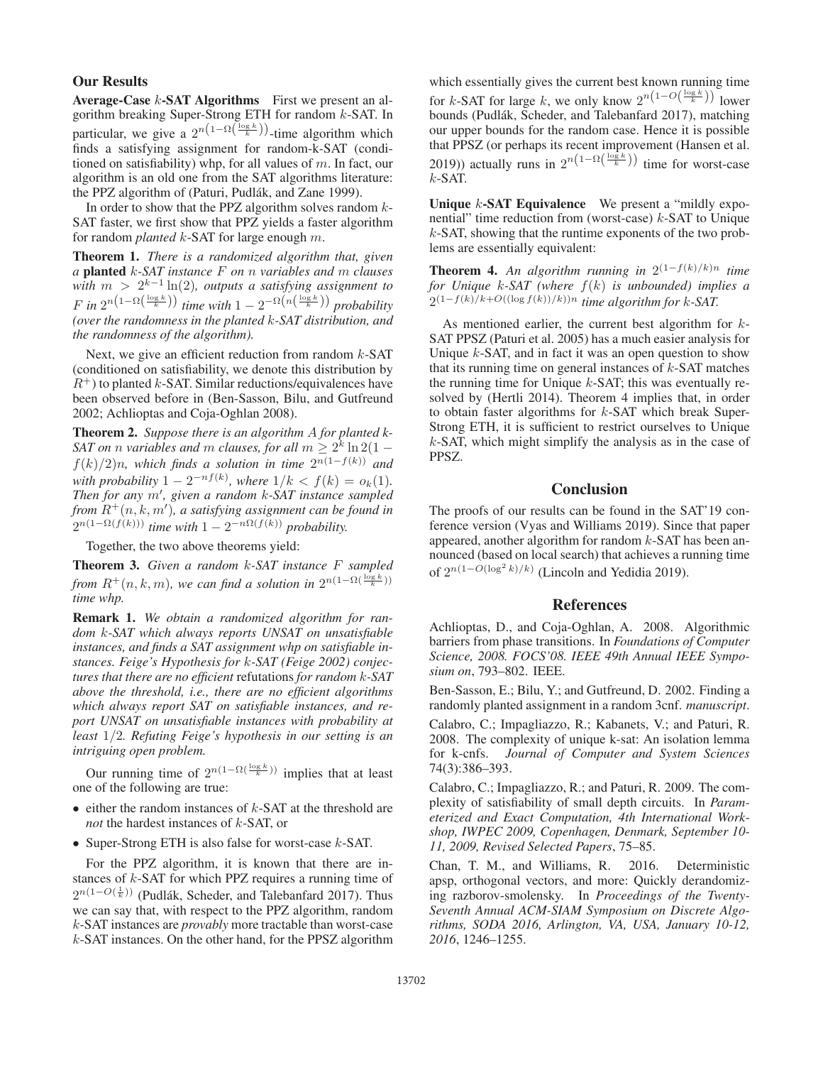#### Our Results

Average-Case  $k$ -SAT Algorithms First we present an algorithm breaking Super-Strong ETH for random k-SAT. In particular, we give a  $2^{n(1-\Omega(\frac{\log k}{k}))}$ -time algorithm which<br>finds a satisfying assignment for random-k-SAT (condifinds a satisfying assignment for random-k-SAT (conditioned on satisfiability) whp, for all values of  $m$ . In fact, our algorithm is an old one from the SAT algorithms literature: the PPZ algorithm of (Paturi, Pudlák, and Zane 1999).

In order to show that the PPZ algorithm solves random  $k$ -SAT faster, we first show that PPZ yields a faster algorithm for random *planted* k-SAT for large enough m.

Theorem 1. *There is a randomized algorithm that, given a* planted k*-SAT instance* F *on* n *variables and* m *clauses with* m > <sup>2</sup>k−<sup>1</sup> ln(2)*, outputs a satisfying assignment to*  $F$  in  $2^{n(1-\Omega(\frac{\log k}{k}))}$  time with  $1-2^{-\Omega(n(\frac{\log k}{k}))}$  probability (over the randomness in the planted k-SAT distribution and *(over the randomness in the planted* k*-SAT distribution, and the randomness of the algorithm).*

Next, we give an efficient reduction from random  $k$ -SAT (conditioned on satisfiability, we denote this distribution by  $R^+$ ) to planted k-SAT. Similar reductions/equivalences have been observed before in (Ben-Sasson, Bilu, and Gutfreund 2002; Achlioptas and Coja-Oghlan 2008).

Theorem 2. *Suppose there is an algorithm* A *for planted k-SAT on n variables and m clauses, for all*  $m \geq 2^k \ln 2(1 - \frac{1}{2})$  $f(k)/2$ )n, which finds a solution in time  $2^{n(1-f(k))}$  and *with probability*  $1 - 2^{-n} f^{(k)}$ , where  $1/k < f(k) = o_k(1)$ .<br>*Then for any m'* given a random k-SAT instance sampled *Then for any m', given a random k-SAT instance sampled* from  $R^+(n, k, m')$ , a satisfying assignment can be found in  $2^{n(1-\Omega(f(k)))}$  time with  $1-2^{-n\Omega(f(k))}$  probability  $2^{n(1-\Omega(f(k)))}$  *time with*  $1-2^{-n\Omega(f(k))}$  *probability.* 

Together, the two above theorems yield:

Theorem 3. *Given a random* k*-SAT instance* F *sampled* from  $R^+(n, k, m)$ , we can find a solution in  $2^{n(1-\Omega(\frac{\log k}{k}))}$ <br>time whn *time whp.*

Remark 1. *We obtain a randomized algorithm for random* k*-SAT which always reports UNSAT on unsatisfiable instances, and finds a SAT assignment whp on satisfiable instances. Feige's Hypothesis for* k*-SAT (Feige 2002) conjectures that there are no efficient* refutations *for random* k*-SAT above the threshold, i.e., there are no efficient algorithms which always report SAT on satisfiable instances, and report UNSAT on unsatisfiable instances with probability at least* 1/2*. Refuting Feige's hypothesis in our setting is an intriguing open problem.*

Our running time of  $2^{n(1-\Omega(\frac{\log k}{k}))}$  implies that at least e of the following are true: one of the following are true:

- $\bullet$  either the random instances of  $k$ -SAT at the threshold are *not* the hardest instances of k-SAT, or
- Super-Strong ETH is also false for worst-case  $k$ -SAT.

For the PPZ algorithm, it is known that there are instances of  $k$ -SAT for which PPZ requires a running time of  $2^{n(1-O(\frac{1}{k}))}$  (Pudlák, Scheder, and Talebanfard 2017). Thus we can say that with respect to the PPZ algorithm random we can say that, with respect to the PPZ algorithm, random k-SAT instances are *provably* more tractable than worst-case k-SAT instances. On the other hand, for the PPSZ algorithm

which essentially gives the current best known running time for k-SAT for large k, we only know  $2^{n(1-O(\frac{\log k}{k}))}$  lower<br>bounds (Pudlák, Scheder, and Talebanfard 2017), matching bounds (Pudlák, Scheder, and Talebanfard 2017), matching our upper bounds for the random case. Hence it is possible that PPSZ (or perhaps its recent improvement (Hansen et al. 2019)) actually runs in  $2^{n(1-\Omega(\frac{\log k}{k}))}$  time for worst-case  $k$ -SAT  $k$ -SAT.

Unique  $k$ -SAT Equivalence We present a "mildly exponential" time reduction from (worst-case)  $k$ -SAT to Unique k-SAT, showing that the runtime exponents of the two problems are essentially equivalent:

Theorem 4. An algorithm running in  $2^{(1-f(k)/k)n}$  time *for Unique* <sup>k</sup>*-SAT (where* <sup>f</sup>(k) *is unbounded) implies a*  $2(1-f(k)/k+O((\log f(k))/k))$ <sup>n</sup> time algorithm for k-SAT.

As mentioned earlier, the current best algorithm for  $k$ -SAT PPSZ (Paturi et al. 2005) has a much easier analysis for Unique  $k$ -SAT, and in fact it was an open question to show that its running time on general instances of  $k$ -SAT matches the running time for Unique  $k$ -SAT; this was eventually resolved by (Hertli 2014). Theorem 4 implies that, in order to obtain faster algorithms for  $k$ -SAT which break Super-Strong ETH, it is sufficient to restrict ourselves to Unique k-SAT, which might simplify the analysis as in the case of PPSZ.

## **Conclusion**

The proofs of our results can be found in the SAT'19 conference version (Vyas and Williams 2019). Since that paper appeared, another algorithm for random  $k$ -SAT has been announced (based on local search) that achieves a running time of  $2^{n(1-O(\log^2 k)/k)}$  (Lincoln and Yedidia 2019).

## References

Achlioptas, D., and Coja-Oghlan, A. 2008. Algorithmic barriers from phase transitions. In *Foundations of Computer Science, 2008. FOCS'08. IEEE 49th Annual IEEE Symposium on*, 793–802. IEEE.

Ben-Sasson, E.; Bilu, Y.; and Gutfreund, D. 2002. Finding a randomly planted assignment in a random 3cnf. *manuscript*.

Calabro, C.; Impagliazzo, R.; Kabanets, V.; and Paturi, R. 2008. The complexity of unique k-sat: An isolation lemma for k-cnfs. *Journal of Computer and System Sciences* 74(3):386–393.

Calabro, C.; Impagliazzo, R.; and Paturi, R. 2009. The complexity of satisfiability of small depth circuits. In *Parameterized and Exact Computation, 4th International Workshop, IWPEC 2009, Copenhagen, Denmark, September 10- 11, 2009, Revised Selected Papers*, 75–85.

Chan, T. M., and Williams, R. 2016. Deterministic apsp, orthogonal vectors, and more: Quickly derandomizing razborov-smolensky. In *Proceedings of the Twenty-Seventh Annual ACM-SIAM Symposium on Discrete Algorithms, SODA 2016, Arlington, VA, USA, January 10-12, 2016*, 1246–1255.